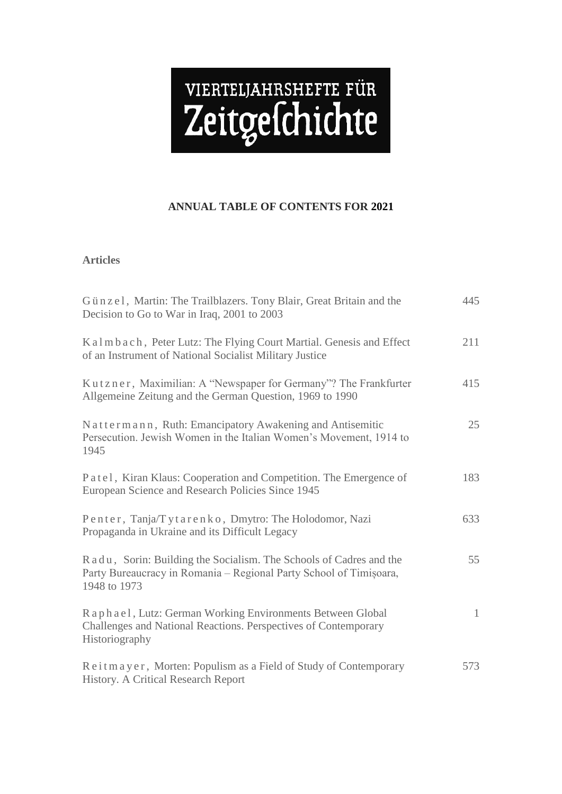# VIERTELJAHRSHEFTE FÜR

## **ANNUAL TABLE OF CONTENTS FOR 2021**

## **Articles**

| Günzel, Martin: The Trailblazers. Tony Blair, Great Britain and the<br>Decision to Go to War in Iraq, 2001 to 2003                                          | 445          |
|-------------------------------------------------------------------------------------------------------------------------------------------------------------|--------------|
| Kalmbach, Peter Lutz: The Flying Court Martial. Genesis and Effect<br>of an Instrument of National Socialist Military Justice                               | 211          |
| Kutzner, Maximilian: A "Newspaper for Germany"? The Frankfurter<br>Allgemeine Zeitung and the German Question, 1969 to 1990                                 | 415          |
| Nattermann, Ruth: Emancipatory Awakening and Antisemitic<br>Persecution. Jewish Women in the Italian Women's Movement, 1914 to<br>1945                      | 25           |
| Patel, Kiran Klaus: Cooperation and Competition. The Emergence of<br>European Science and Research Policies Since 1945                                      | 183          |
| Penter, Tanja/Tytarenko, Dmytro: The Holodomor, Nazi<br>Propaganda in Ukraine and its Difficult Legacy                                                      | 633          |
| R a d u, Sorin: Building the Socialism. The Schools of Cadres and the<br>Party Bureaucracy in Romania - Regional Party School of Timișoara,<br>1948 to 1973 | 55           |
| Raphael, Lutz: German Working Environments Between Global<br>Challenges and National Reactions. Perspectives of Contemporary<br>Historiography              | $\mathbf{1}$ |
| Reitmayer, Morten: Populism as a Field of Study of Contemporary<br>History. A Critical Research Report                                                      | 573          |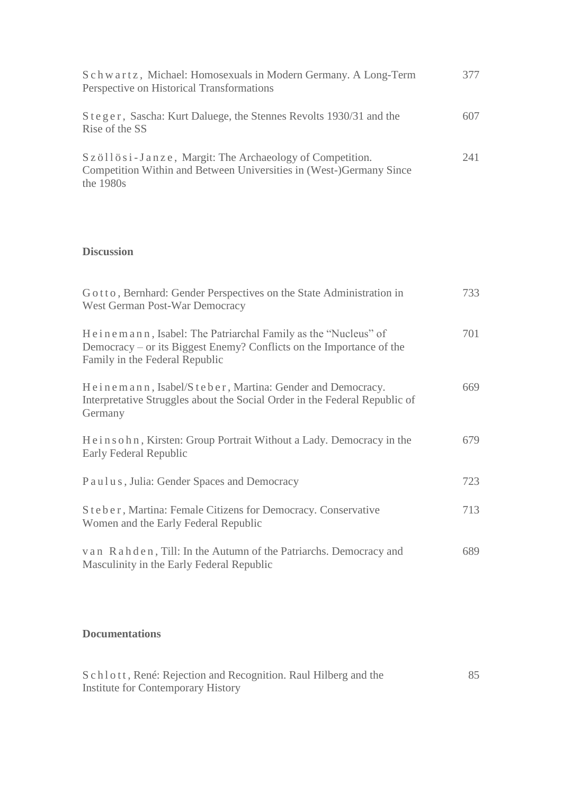| Schwartz, Michael: Homosexuals in Modern Germany. A Long-Term<br>Perspective on Historical Transformations                                  | 377 |
|---------------------------------------------------------------------------------------------------------------------------------------------|-----|
| Steger, Sascha: Kurt Daluege, the Stennes Revolts 1930/31 and the<br>Rise of the SS                                                         | 607 |
| Szöllösi-Janze, Margit: The Archaeology of Competition.<br>Competition Within and Between Universities in (West-)Germany Since<br>the 1980s | 241 |

## **Discussion**

| Gotto, Bernhard: Gender Perspectives on the State Administration in<br>West German Post-War Democracy                                                                   | 733 |
|-------------------------------------------------------------------------------------------------------------------------------------------------------------------------|-----|
| Heinemann, Isabel: The Patriarchal Family as the "Nucleus" of<br>Democracy – or its Biggest Enemy? Conflicts on the Importance of the<br>Family in the Federal Republic | 701 |
| Heinemann, Isabel/Steber, Martina: Gender and Democracy.<br>Interpretative Struggles about the Social Order in the Federal Republic of<br>Germany                       | 669 |
| He in sohn, Kirsten: Group Portrait Without a Lady. Democracy in the<br>Early Federal Republic                                                                          | 679 |
| Paulus, Julia: Gender Spaces and Democracy                                                                                                                              | 723 |
| Steber, Martina: Female Citizens for Democracy. Conservative<br>Women and the Early Federal Republic                                                                    | 713 |
| van Rahden, Till: In the Autumn of the Patriarchs. Democracy and<br>Masculinity in the Early Federal Republic                                                           | 689 |

## **Documentations**

| Schlott, René: Rejection and Recognition. Raul Hilberg and the |  |
|----------------------------------------------------------------|--|
| <b>Institute for Contemporary History</b>                      |  |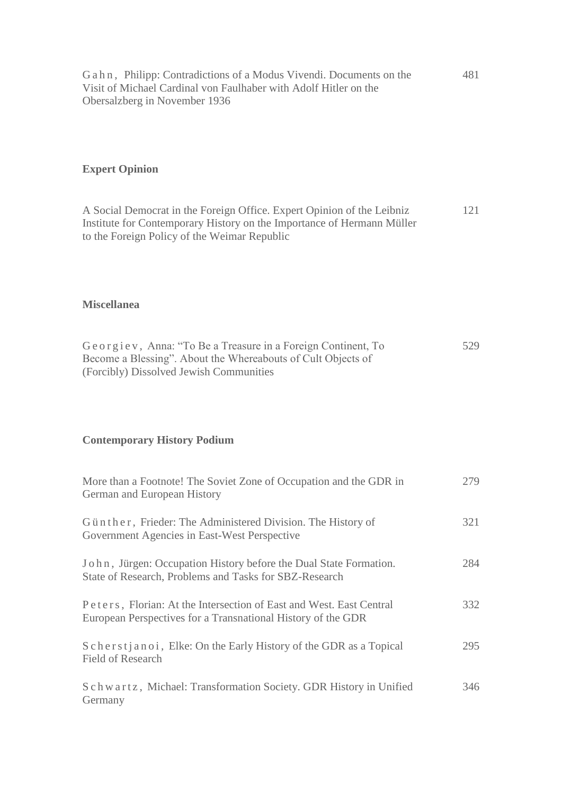G a h n, Philipp: Contradictions of a Modus Vivendi. Documents on the Visit of Michael Cardinal von Faulhaber with Adolf Hitler on the Obersalzberg in November 1936 481

## **Expert Opinion**

A Social Democrat in the Foreign Office. Expert Opinion of the Leibniz Institute for Contemporary History on the Importance of Hermann Müller to the Foreign Policy of the Weimar Republic 121

#### **Miscellanea**

| Georgiev, Anna: "To Be a Treasure in a Foreign Continent, To | 529 |
|--------------------------------------------------------------|-----|
| Become a Blessing". About the Whereabouts of Cult Objects of |     |
| (Forcibly) Dissolved Jewish Communities                      |     |

## **Contemporary History Podium**

| More than a Footnote! The Soviet Zone of Occupation and the GDR in<br>German and European History                                   | 279 |
|-------------------------------------------------------------------------------------------------------------------------------------|-----|
| Günther, Frieder: The Administered Division. The History of<br>Government Agencies in East-West Perspective                         | 321 |
| John, Jürgen: Occupation History before the Dual State Formation.<br>State of Research, Problems and Tasks for SBZ-Research         | 284 |
| Peters, Florian: At the Intersection of East and West. East Central<br>European Perspectives for a Transnational History of the GDR | 332 |
| Scherstjanoi, Elke: On the Early History of the GDR as a Topical<br>Field of Research                                               | 295 |
| Schwartz, Michael: Transformation Society. GDR History in Unified<br>Germany                                                        | 346 |